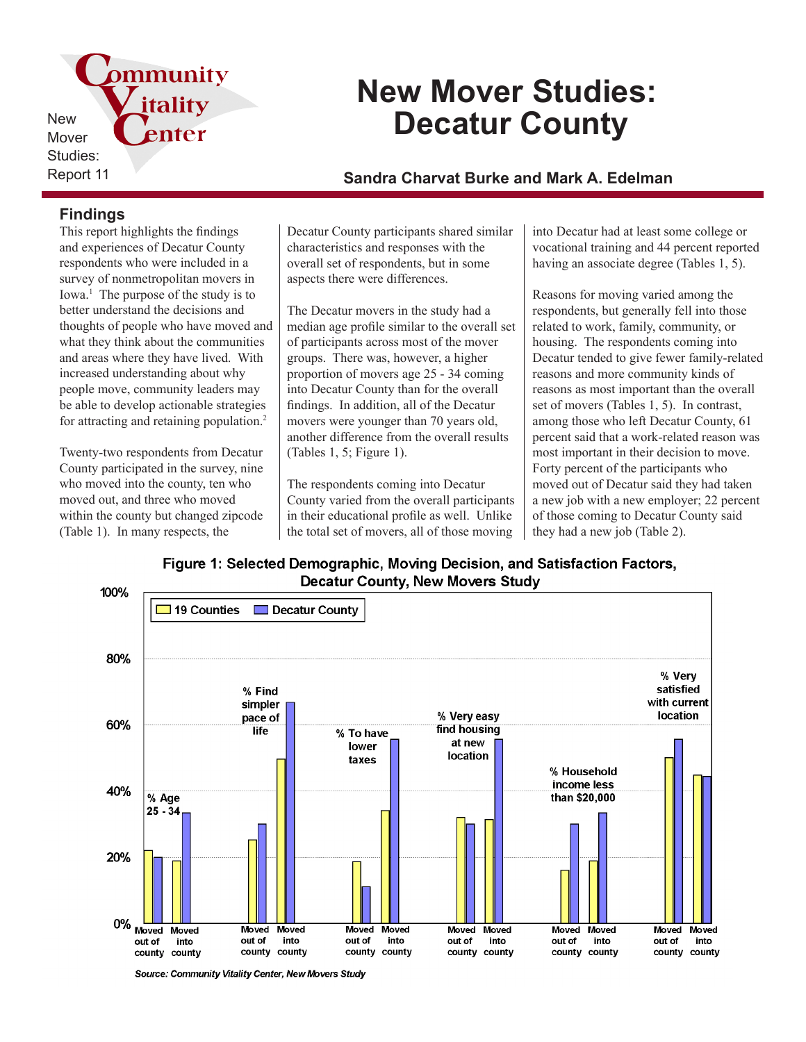pmmunity itality New enter Mover Studies:

# **New Mover Studies: Decatur County**

## Report 11 **Sandra Charvat Burke and Mark A. Edelman**

## **Findings**

This report highlights the findings and experiences of Decatur County respondents who were included in a survey of nonmetropolitan movers in Iowa.<sup>1</sup> The purpose of the study is to better understand the decisions and thoughts of people who have moved and what they think about the communities and areas where they have lived. With increased understanding about why people move, community leaders may be able to develop actionable strategies for attracting and retaining population.<sup>2</sup>

Twenty-two respondents from Decatur County participated in the survey, nine who moved into the county, ten who moved out, and three who moved within the county but changed zipcode (Table 1). In many respects, the

Decatur County participants shared similar characteristics and responses with the overall set of respondents, but in some aspects there were differences.

The Decatur movers in the study had a median age profile similar to the overall set of participants across most of the mover groups. There was, however, a higher proportion of movers age 25 - 34 coming into Decatur County than for the overall findings. In addition, all of the Decatur movers were younger than 70 years old, another difference from the overall results (Tables 1, 5; Figure 1).

The respondents coming into Decatur County varied from the overall participants in their educational profile as well. Unlike the total set of movers, all of those moving

into Decatur had at least some college or vocational training and 44 percent reported having an associate degree (Tables 1, 5).

Reasons for moving varied among the respondents, but generally fell into those related to work, family, community, or housing. The respondents coming into Decatur tended to give fewer family-related reasons and more community kinds of reasons as most important than the overall set of movers (Tables 1, 5). In contrast, among those who left Decatur County, 61 percent said that a work-related reason was most important in their decision to move. Forty percent of the participants who moved out of Decatur said they had taken a new job with a new employer; 22 percent of those coming to Decatur County said they had a new job (Table 2).

Figure 1: Selected Demographic, Moving Decision, and Satisfaction Factors, **Decatur County, New Movers Study** 



Source: Community Vitality Center, New Movers Study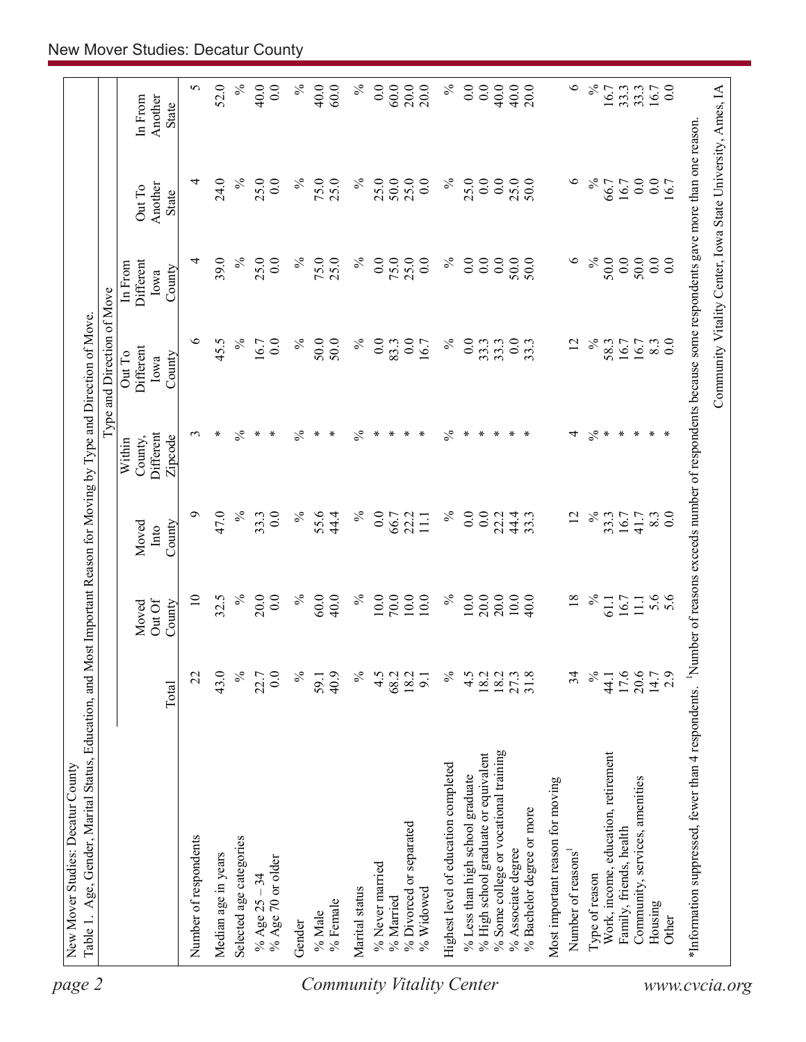| Number of respondents                                  |                                                    |                       |                           |                         |                                           | Type and Direction of Move                                                                          |                                        |                                                            |                             |
|--------------------------------------------------------|----------------------------------------------------|-----------------------|---------------------------|-------------------------|-------------------------------------------|-----------------------------------------------------------------------------------------------------|----------------------------------------|------------------------------------------------------------|-----------------------------|
|                                                        |                                                    | Total                 | Out Of<br>County<br>Moved | County<br>Moved<br>Into | Different<br>Zipcode<br>County,<br>Within | Different<br>Out To<br>County<br>Iowa                                                               | Different<br>In From<br>County<br>Iowa | Another<br>Out To<br><b>State</b>                          | In From<br>Another<br>State |
|                                                        |                                                    | 22                    | $\overline{10}$           | Ó                       | 3                                         | $\circ$                                                                                             | 4                                      | 4                                                          | 5                           |
| Median age in years                                    |                                                    | 43.0                  | 32.5                      | 47.0                    | ∗                                         | 45.5                                                                                                | 39.0                                   | 24.0                                                       | 52.0                        |
| Selected age categories                                |                                                    | $\%$                  | $\%$                      | $\%$                    | ℅                                         | $\%$                                                                                                | $\%$                                   | $\%$                                                       | $\%$                        |
| % Age 70 or older<br>% Age $25 - 34$                   |                                                    | 0.0<br>22.7           | 20.0<br>0.0               | 0.0<br>33.3             | ∗<br>$\ast$                               | 16.7<br>$\overline{0.0}$                                                                            | 25.0<br>0.0                            | 25.0<br>0.0                                                | 40.0<br>0.0                 |
| Gender                                                 |                                                    | $\%$                  | $\%$                      | $\%$                    | $\%$                                      | $\%$                                                                                                | $\%$                                   | $\%$                                                       | $\%$                        |
| % Female<br>% Male<br><b>Community Vitality Center</b> |                                                    | 40.9<br>59.1          | 60.0<br>40.0              | 55.6<br>44.4            | $\ast$<br>$\ast$                          | 50.0<br>50.0                                                                                        | 75.0<br>25.0                           | 75.0<br>25.0                                               | 40.0<br>60.0                |
| Marital status                                         |                                                    | $\%$                  | $\%$                      | $\%$                    | $\frac{5}{6}$                             | $\%$                                                                                                | $\%$                                   | $\%$                                                       | $\%$                        |
| % Never married                                        |                                                    | 4.5                   | 10.0                      | 0.0                     | ∗                                         | 0.0                                                                                                 | 0.0                                    | 25.0                                                       | 0.0                         |
| % Married                                              |                                                    | 68.2                  | 70.0                      | 66.7                    | ∗                                         | 83.3                                                                                                | 75.0                                   | 50.0                                                       | 60.0                        |
| % Divorced or separated                                |                                                    | 18.2                  | 10.0                      | 22.2                    | $\ast$                                    | 0.0                                                                                                 | 25.0                                   | 25.0                                                       | 20.0                        |
| $%$ Widowed                                            |                                                    | $\overline{9}$        | 10.0                      | $\Xi$                   | $\ast$                                    | 16.7                                                                                                | 0.0                                    | 0.0                                                        | 20.0                        |
|                                                        | Highest level of education completed               | $\%$                  | $\%$                      | $\%$                    | $\frac{5}{6}$                             | $\%$                                                                                                | $\%$                                   | $\%$                                                       | $\%$                        |
|                                                        | % Less than high school graduate                   | $\frac{4}{5}$         | 10.0                      | 0.0                     | ∗                                         | 0.0                                                                                                 | 0.0                                    | 25.0                                                       | 0.0                         |
|                                                        | % High school graduate or equivalent               | 18.2                  | 20.0                      | 0.0                     | $\ast$                                    | 33.3                                                                                                | 0.0                                    | 0.0                                                        | $\overline{0.0}$            |
|                                                        | % Some college or vocational training              |                       | 20.0                      | 22.2                    | $\ast$                                    | 33.3                                                                                                | 0.0                                    | 0.0                                                        | 40.0                        |
| % Bachelor degree or more<br>% Associate degree        |                                                    | $\frac{18.2}{27.3}$   | 10.0<br>40.0              | 44.4<br>33.3            | $\ast$<br>$\ast$                          | 0.0<br>33.3                                                                                         | 50.0<br>50.0                           | 25.0<br>50.0                                               | 40.0<br>20.0                |
|                                                        | Most important reason for moving                   |                       |                           |                         |                                           |                                                                                                     |                                        |                                                            |                             |
| Number of reasons                                      |                                                    | 34                    | $\overline{18}$           | $\overline{2}$          | 4                                         | $\overline{c}$                                                                                      | $\circ$                                | $\circ$                                                    | $\circ$                     |
| Type of reason                                         |                                                    | $\%$                  | $\%$                      | $\%$                    | $\frac{5}{6}$                             | $\%$                                                                                                | $\%$                                   | $\%$                                                       | $\%$                        |
|                                                        | Work, income, education, retirement                | 44.1                  | 61.1                      | 33.3                    | $\ast$                                    | 58.3                                                                                                | 50.0                                   | 66.7                                                       | 16.7                        |
| Family, friends, health                                |                                                    | 17.6                  | 16.7                      | 16.7                    | $\ast$                                    | 16.7                                                                                                | 0.0                                    | 16.7                                                       | 33.3                        |
|                                                        | Community, services, amenities                     | $20.6$<br>14.7<br>2.9 | $\Xi$                     | 41.7                    | $\ast$                                    | 16.7                                                                                                | 50.0                                   | 0.0                                                        | 33.3                        |
| Housing                                                |                                                    |                       | 5.6                       | 8.3                     | $\ast$                                    | 8.3                                                                                                 | 0.0                                    | 0.0                                                        | 16.7                        |
| Other                                                  |                                                    |                       |                           | 0.0                     | $\ast$                                    | $\overline{0}$ .                                                                                    | 0.0                                    | 16.7                                                       | 0.0                         |
| www.cvcia.org                                          | *Information suppressed, fewer than 4 respondents. |                       |                           |                         |                                           | Number of reasons exceeds number of respondents because some respondents gave more than one reason. |                                        |                                                            |                             |
|                                                        |                                                    |                       |                           |                         |                                           |                                                                                                     |                                        | Community Vitality Center, Iowa State University, Ames, IA |                             |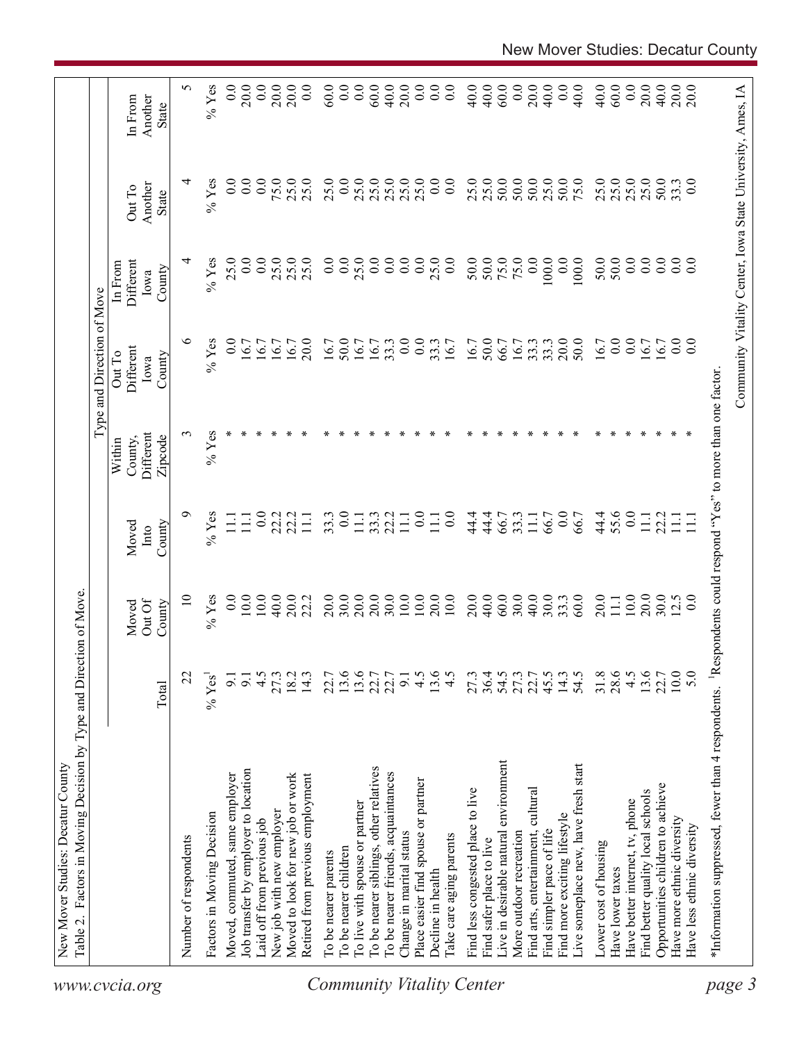| 5<br>40.0<br>20.0<br>$%$ Yes<br>0.0<br>20.0<br>0.0<br>20.0<br>60.0<br>0.0<br>60.0<br>40.0<br>20.0<br>0.0<br>$\overline{0.0}$<br>0.0<br>40.0<br>60.0<br>0.0<br>20.0<br>40.0<br>0.0<br>40.0<br>40.0<br>60.0<br>0.0<br>20.0<br>40.0<br>20.0<br>20.0<br>0.0<br>0.0<br>Another<br>In From<br>State<br>0.0<br>25.0<br>50.0<br>50.0<br>50.0<br>25.0<br>50.0<br>75.0<br>25.0<br>25.0<br>25.0<br>25.0<br>$%$ Yes<br>0.0<br>0.0<br>75.0<br>25.0<br>25.0<br>0.0<br>25.0<br>25.0<br>25.0<br>25.0<br>25.0<br>0.0<br>$\overline{0}$ .<br>25.0<br>50.0<br>33.3<br>0.0<br>₹<br>25.0<br>Another<br>Out To<br>State<br>$%$ Yes<br>25.0<br>0.0<br>0.0<br>0.0<br>0.0<br>25.0<br>50.0<br>75.0<br>50.0<br>0.0<br>0.0<br>0.0<br>4<br>25.0<br>25.0<br>0.0<br>0.0<br>$\overline{0.0}$<br>0.0<br>0.0<br>50.0<br>0.0<br>0.0<br>100.0<br>50.0<br>0.0<br>$\overline{0.0}$<br>25.0<br>25.0<br>100.0<br>Different<br>In From<br>County<br>Iowa<br>७<br>20.0<br>0.0<br>0.0<br>0.0<br>0.0<br>50.0<br>50.0<br>0.0<br>$%$ Yes<br>20.0<br>16.7<br>50.0<br>33.3<br>33.3<br>16.7<br>$\overline{0}$ .<br>0.0<br>16.7<br>16.7<br>16.7<br>33.3<br>33.3<br>16.7<br>16.7<br>16.7<br>16.7<br>16.7<br>66.7<br>16.7<br>16.7<br>16.7<br>Different<br>Out To<br>County<br>Iowa<br>$%$ Yes<br>3<br>Different<br>Zipcode<br>County,<br>Within<br>55.6<br>๑<br>0.0<br>44.4<br>0.0<br>$%$ Yes<br>33.3<br>$\overline{0.0}$<br>33.3<br>22.2<br>0.0<br>$\overline{0}$ .<br>44.4<br>0.0<br>22.2<br>44.4<br>66.7<br>33.3<br>22.2<br>22.2<br>111<br>$\overline{111}$<br>$\Xi$<br>66.7<br>66.7<br>$\Xi$<br>$\Xi$<br>$\overline{11}$<br>$\Xi$<br>$\Xi$<br>$\Xi$<br>$\Xi$<br>County<br>Moved<br>Into<br>$10.0$<br>20.0<br>20.0<br>30.0<br>10.0<br>20.0<br>40.0<br>60.0<br>30.0<br>40.0<br>30.0<br>20.0<br>$\overline{10}$<br>0.0<br>10.0<br>40.0<br>30.0<br>20.0<br>$10.0$<br>10.0<br>33.3<br>20.0<br>$10.0\,$<br>30.0<br>$%$ Yes<br>20.0<br>22.2<br>20.0<br>60.0<br>12.5<br>$\overline{0.0}$<br>111<br>Out Of<br>County<br>Moved<br>13.6<br>$10.0$<br>22.7<br>13.6<br>$13.6$<br>22.7<br>$13.6$<br>4.5<br>2745377<br>2745277<br>45.5<br>$14.3$<br>54.5<br>31.8<br>$28.6$<br>4.5<br>22.7<br>4.5<br>$18.2$<br>14.3<br>22.7<br>4.5<br>5.0<br>27.3<br>9.1<br>22<br>9.1<br>$\overline{9}$<br>$%$ Yes<br>Total<br>Live in desirable natural environment<br>Live someplace new, have fresh start<br>To be nearer siblings, other relatives<br>Job transfer by employer to location<br>To be nearer friends, acquaintances<br>Moved, commuted, same employer<br>Moved to look for new job or work<br>Retired from previous employment<br>Place easier find spouse or partner<br>Opportunities children to achieve<br>Find less congested place to live<br>Find arts, entertainment, cultural<br>Find better quality local schools<br>Have better internet, tv, phone<br>To live with spouse or partner<br>New job with new employer<br>Factors in Moving Decision<br>Find more exciting lifestyle<br>Have more ethnic diversity<br>Laid off from previous job<br>Have less ethnic diversity<br>More outdoor recreation<br>Find simpler pace of life<br>Change in marital status<br>Take care aging parents<br>Number of respondents<br>Find safer place to live<br>Lower cost of housing<br>To be nearer children<br>To be nearer parents<br>Have lower taxes<br>Decline in health |  |  |  | Type and Direction of Move |  |  |
|---------------------------------------------------------------------------------------------------------------------------------------------------------------------------------------------------------------------------------------------------------------------------------------------------------------------------------------------------------------------------------------------------------------------------------------------------------------------------------------------------------------------------------------------------------------------------------------------------------------------------------------------------------------------------------------------------------------------------------------------------------------------------------------------------------------------------------------------------------------------------------------------------------------------------------------------------------------------------------------------------------------------------------------------------------------------------------------------------------------------------------------------------------------------------------------------------------------------------------------------------------------------------------------------------------------------------------------------------------------------------------------------------------------------------------------------------------------------------------------------------------------------------------------------------------------------------------------------------------------------------------------------------------------------------------------------------------------------------------------------------------------------------------------------------------------------------------------------------------------------------------------------------------------------------------------------------------------------------------------------------------------------------------------------------------------------------------------------------------------------------------------------------------------------------------------------------------------------------------------------------------------------------------------------------------------------------------------------------------------------------------------------------------------------------------------------------------------------------------------------------------------------------------------------------------------------------------------------------------------------------------------------------------------------------------------------------------------------------------------------------------------------------------------------------------------------------------------------------------------------------------------------------------------------------------------------------------------------------------------------------------------------------------------------------------------------------------------------------------------------------------------------------------------------------------------------------------------------------------------------------------------------------------------------------------------|--|--|--|----------------------------|--|--|
|                                                                                                                                                                                                                                                                                                                                                                                                                                                                                                                                                                                                                                                                                                                                                                                                                                                                                                                                                                                                                                                                                                                                                                                                                                                                                                                                                                                                                                                                                                                                                                                                                                                                                                                                                                                                                                                                                                                                                                                                                                                                                                                                                                                                                                                                                                                                                                                                                                                                                                                                                                                                                                                                                                                                                                                                                                                                                                                                                                                                                                                                                                                                                                                                                                                                                                               |  |  |  |                            |  |  |
|                                                                                                                                                                                                                                                                                                                                                                                                                                                                                                                                                                                                                                                                                                                                                                                                                                                                                                                                                                                                                                                                                                                                                                                                                                                                                                                                                                                                                                                                                                                                                                                                                                                                                                                                                                                                                                                                                                                                                                                                                                                                                                                                                                                                                                                                                                                                                                                                                                                                                                                                                                                                                                                                                                                                                                                                                                                                                                                                                                                                                                                                                                                                                                                                                                                                                                               |  |  |  |                            |  |  |
|                                                                                                                                                                                                                                                                                                                                                                                                                                                                                                                                                                                                                                                                                                                                                                                                                                                                                                                                                                                                                                                                                                                                                                                                                                                                                                                                                                                                                                                                                                                                                                                                                                                                                                                                                                                                                                                                                                                                                                                                                                                                                                                                                                                                                                                                                                                                                                                                                                                                                                                                                                                                                                                                                                                                                                                                                                                                                                                                                                                                                                                                                                                                                                                                                                                                                                               |  |  |  |                            |  |  |
|                                                                                                                                                                                                                                                                                                                                                                                                                                                                                                                                                                                                                                                                                                                                                                                                                                                                                                                                                                                                                                                                                                                                                                                                                                                                                                                                                                                                                                                                                                                                                                                                                                                                                                                                                                                                                                                                                                                                                                                                                                                                                                                                                                                                                                                                                                                                                                                                                                                                                                                                                                                                                                                                                                                                                                                                                                                                                                                                                                                                                                                                                                                                                                                                                                                                                                               |  |  |  |                            |  |  |
| <b>Community Vitality Center</b>                                                                                                                                                                                                                                                                                                                                                                                                                                                                                                                                                                                                                                                                                                                                                                                                                                                                                                                                                                                                                                                                                                                                                                                                                                                                                                                                                                                                                                                                                                                                                                                                                                                                                                                                                                                                                                                                                                                                                                                                                                                                                                                                                                                                                                                                                                                                                                                                                                                                                                                                                                                                                                                                                                                                                                                                                                                                                                                                                                                                                                                                                                                                                                                                                                                                              |  |  |  |                            |  |  |
|                                                                                                                                                                                                                                                                                                                                                                                                                                                                                                                                                                                                                                                                                                                                                                                                                                                                                                                                                                                                                                                                                                                                                                                                                                                                                                                                                                                                                                                                                                                                                                                                                                                                                                                                                                                                                                                                                                                                                                                                                                                                                                                                                                                                                                                                                                                                                                                                                                                                                                                                                                                                                                                                                                                                                                                                                                                                                                                                                                                                                                                                                                                                                                                                                                                                                                               |  |  |  |                            |  |  |
|                                                                                                                                                                                                                                                                                                                                                                                                                                                                                                                                                                                                                                                                                                                                                                                                                                                                                                                                                                                                                                                                                                                                                                                                                                                                                                                                                                                                                                                                                                                                                                                                                                                                                                                                                                                                                                                                                                                                                                                                                                                                                                                                                                                                                                                                                                                                                                                                                                                                                                                                                                                                                                                                                                                                                                                                                                                                                                                                                                                                                                                                                                                                                                                                                                                                                                               |  |  |  |                            |  |  |
|                                                                                                                                                                                                                                                                                                                                                                                                                                                                                                                                                                                                                                                                                                                                                                                                                                                                                                                                                                                                                                                                                                                                                                                                                                                                                                                                                                                                                                                                                                                                                                                                                                                                                                                                                                                                                                                                                                                                                                                                                                                                                                                                                                                                                                                                                                                                                                                                                                                                                                                                                                                                                                                                                                                                                                                                                                                                                                                                                                                                                                                                                                                                                                                                                                                                                                               |  |  |  |                            |  |  |
|                                                                                                                                                                                                                                                                                                                                                                                                                                                                                                                                                                                                                                                                                                                                                                                                                                                                                                                                                                                                                                                                                                                                                                                                                                                                                                                                                                                                                                                                                                                                                                                                                                                                                                                                                                                                                                                                                                                                                                                                                                                                                                                                                                                                                                                                                                                                                                                                                                                                                                                                                                                                                                                                                                                                                                                                                                                                                                                                                                                                                                                                                                                                                                                                                                                                                                               |  |  |  |                            |  |  |
|                                                                                                                                                                                                                                                                                                                                                                                                                                                                                                                                                                                                                                                                                                                                                                                                                                                                                                                                                                                                                                                                                                                                                                                                                                                                                                                                                                                                                                                                                                                                                                                                                                                                                                                                                                                                                                                                                                                                                                                                                                                                                                                                                                                                                                                                                                                                                                                                                                                                                                                                                                                                                                                                                                                                                                                                                                                                                                                                                                                                                                                                                                                                                                                                                                                                                                               |  |  |  |                            |  |  |
|                                                                                                                                                                                                                                                                                                                                                                                                                                                                                                                                                                                                                                                                                                                                                                                                                                                                                                                                                                                                                                                                                                                                                                                                                                                                                                                                                                                                                                                                                                                                                                                                                                                                                                                                                                                                                                                                                                                                                                                                                                                                                                                                                                                                                                                                                                                                                                                                                                                                                                                                                                                                                                                                                                                                                                                                                                                                                                                                                                                                                                                                                                                                                                                                                                                                                                               |  |  |  |                            |  |  |
|                                                                                                                                                                                                                                                                                                                                                                                                                                                                                                                                                                                                                                                                                                                                                                                                                                                                                                                                                                                                                                                                                                                                                                                                                                                                                                                                                                                                                                                                                                                                                                                                                                                                                                                                                                                                                                                                                                                                                                                                                                                                                                                                                                                                                                                                                                                                                                                                                                                                                                                                                                                                                                                                                                                                                                                                                                                                                                                                                                                                                                                                                                                                                                                                                                                                                                               |  |  |  |                            |  |  |
|                                                                                                                                                                                                                                                                                                                                                                                                                                                                                                                                                                                                                                                                                                                                                                                                                                                                                                                                                                                                                                                                                                                                                                                                                                                                                                                                                                                                                                                                                                                                                                                                                                                                                                                                                                                                                                                                                                                                                                                                                                                                                                                                                                                                                                                                                                                                                                                                                                                                                                                                                                                                                                                                                                                                                                                                                                                                                                                                                                                                                                                                                                                                                                                                                                                                                                               |  |  |  |                            |  |  |
|                                                                                                                                                                                                                                                                                                                                                                                                                                                                                                                                                                                                                                                                                                                                                                                                                                                                                                                                                                                                                                                                                                                                                                                                                                                                                                                                                                                                                                                                                                                                                                                                                                                                                                                                                                                                                                                                                                                                                                                                                                                                                                                                                                                                                                                                                                                                                                                                                                                                                                                                                                                                                                                                                                                                                                                                                                                                                                                                                                                                                                                                                                                                                                                                                                                                                                               |  |  |  |                            |  |  |
|                                                                                                                                                                                                                                                                                                                                                                                                                                                                                                                                                                                                                                                                                                                                                                                                                                                                                                                                                                                                                                                                                                                                                                                                                                                                                                                                                                                                                                                                                                                                                                                                                                                                                                                                                                                                                                                                                                                                                                                                                                                                                                                                                                                                                                                                                                                                                                                                                                                                                                                                                                                                                                                                                                                                                                                                                                                                                                                                                                                                                                                                                                                                                                                                                                                                                                               |  |  |  |                            |  |  |
|                                                                                                                                                                                                                                                                                                                                                                                                                                                                                                                                                                                                                                                                                                                                                                                                                                                                                                                                                                                                                                                                                                                                                                                                                                                                                                                                                                                                                                                                                                                                                                                                                                                                                                                                                                                                                                                                                                                                                                                                                                                                                                                                                                                                                                                                                                                                                                                                                                                                                                                                                                                                                                                                                                                                                                                                                                                                                                                                                                                                                                                                                                                                                                                                                                                                                                               |  |  |  |                            |  |  |
|                                                                                                                                                                                                                                                                                                                                                                                                                                                                                                                                                                                                                                                                                                                                                                                                                                                                                                                                                                                                                                                                                                                                                                                                                                                                                                                                                                                                                                                                                                                                                                                                                                                                                                                                                                                                                                                                                                                                                                                                                                                                                                                                                                                                                                                                                                                                                                                                                                                                                                                                                                                                                                                                                                                                                                                                                                                                                                                                                                                                                                                                                                                                                                                                                                                                                                               |  |  |  |                            |  |  |
|                                                                                                                                                                                                                                                                                                                                                                                                                                                                                                                                                                                                                                                                                                                                                                                                                                                                                                                                                                                                                                                                                                                                                                                                                                                                                                                                                                                                                                                                                                                                                                                                                                                                                                                                                                                                                                                                                                                                                                                                                                                                                                                                                                                                                                                                                                                                                                                                                                                                                                                                                                                                                                                                                                                                                                                                                                                                                                                                                                                                                                                                                                                                                                                                                                                                                                               |  |  |  |                            |  |  |
|                                                                                                                                                                                                                                                                                                                                                                                                                                                                                                                                                                                                                                                                                                                                                                                                                                                                                                                                                                                                                                                                                                                                                                                                                                                                                                                                                                                                                                                                                                                                                                                                                                                                                                                                                                                                                                                                                                                                                                                                                                                                                                                                                                                                                                                                                                                                                                                                                                                                                                                                                                                                                                                                                                                                                                                                                                                                                                                                                                                                                                                                                                                                                                                                                                                                                                               |  |  |  |                            |  |  |
|                                                                                                                                                                                                                                                                                                                                                                                                                                                                                                                                                                                                                                                                                                                                                                                                                                                                                                                                                                                                                                                                                                                                                                                                                                                                                                                                                                                                                                                                                                                                                                                                                                                                                                                                                                                                                                                                                                                                                                                                                                                                                                                                                                                                                                                                                                                                                                                                                                                                                                                                                                                                                                                                                                                                                                                                                                                                                                                                                                                                                                                                                                                                                                                                                                                                                                               |  |  |  |                            |  |  |
|                                                                                                                                                                                                                                                                                                                                                                                                                                                                                                                                                                                                                                                                                                                                                                                                                                                                                                                                                                                                                                                                                                                                                                                                                                                                                                                                                                                                                                                                                                                                                                                                                                                                                                                                                                                                                                                                                                                                                                                                                                                                                                                                                                                                                                                                                                                                                                                                                                                                                                                                                                                                                                                                                                                                                                                                                                                                                                                                                                                                                                                                                                                                                                                                                                                                                                               |  |  |  |                            |  |  |
|                                                                                                                                                                                                                                                                                                                                                                                                                                                                                                                                                                                                                                                                                                                                                                                                                                                                                                                                                                                                                                                                                                                                                                                                                                                                                                                                                                                                                                                                                                                                                                                                                                                                                                                                                                                                                                                                                                                                                                                                                                                                                                                                                                                                                                                                                                                                                                                                                                                                                                                                                                                                                                                                                                                                                                                                                                                                                                                                                                                                                                                                                                                                                                                                                                                                                                               |  |  |  |                            |  |  |
|                                                                                                                                                                                                                                                                                                                                                                                                                                                                                                                                                                                                                                                                                                                                                                                                                                                                                                                                                                                                                                                                                                                                                                                                                                                                                                                                                                                                                                                                                                                                                                                                                                                                                                                                                                                                                                                                                                                                                                                                                                                                                                                                                                                                                                                                                                                                                                                                                                                                                                                                                                                                                                                                                                                                                                                                                                                                                                                                                                                                                                                                                                                                                                                                                                                                                                               |  |  |  |                            |  |  |
|                                                                                                                                                                                                                                                                                                                                                                                                                                                                                                                                                                                                                                                                                                                                                                                                                                                                                                                                                                                                                                                                                                                                                                                                                                                                                                                                                                                                                                                                                                                                                                                                                                                                                                                                                                                                                                                                                                                                                                                                                                                                                                                                                                                                                                                                                                                                                                                                                                                                                                                                                                                                                                                                                                                                                                                                                                                                                                                                                                                                                                                                                                                                                                                                                                                                                                               |  |  |  |                            |  |  |
|                                                                                                                                                                                                                                                                                                                                                                                                                                                                                                                                                                                                                                                                                                                                                                                                                                                                                                                                                                                                                                                                                                                                                                                                                                                                                                                                                                                                                                                                                                                                                                                                                                                                                                                                                                                                                                                                                                                                                                                                                                                                                                                                                                                                                                                                                                                                                                                                                                                                                                                                                                                                                                                                                                                                                                                                                                                                                                                                                                                                                                                                                                                                                                                                                                                                                                               |  |  |  |                            |  |  |
|                                                                                                                                                                                                                                                                                                                                                                                                                                                                                                                                                                                                                                                                                                                                                                                                                                                                                                                                                                                                                                                                                                                                                                                                                                                                                                                                                                                                                                                                                                                                                                                                                                                                                                                                                                                                                                                                                                                                                                                                                                                                                                                                                                                                                                                                                                                                                                                                                                                                                                                                                                                                                                                                                                                                                                                                                                                                                                                                                                                                                                                                                                                                                                                                                                                                                                               |  |  |  |                            |  |  |
|                                                                                                                                                                                                                                                                                                                                                                                                                                                                                                                                                                                                                                                                                                                                                                                                                                                                                                                                                                                                                                                                                                                                                                                                                                                                                                                                                                                                                                                                                                                                                                                                                                                                                                                                                                                                                                                                                                                                                                                                                                                                                                                                                                                                                                                                                                                                                                                                                                                                                                                                                                                                                                                                                                                                                                                                                                                                                                                                                                                                                                                                                                                                                                                                                                                                                                               |  |  |  |                            |  |  |
|                                                                                                                                                                                                                                                                                                                                                                                                                                                                                                                                                                                                                                                                                                                                                                                                                                                                                                                                                                                                                                                                                                                                                                                                                                                                                                                                                                                                                                                                                                                                                                                                                                                                                                                                                                                                                                                                                                                                                                                                                                                                                                                                                                                                                                                                                                                                                                                                                                                                                                                                                                                                                                                                                                                                                                                                                                                                                                                                                                                                                                                                                                                                                                                                                                                                                                               |  |  |  |                            |  |  |
|                                                                                                                                                                                                                                                                                                                                                                                                                                                                                                                                                                                                                                                                                                                                                                                                                                                                                                                                                                                                                                                                                                                                                                                                                                                                                                                                                                                                                                                                                                                                                                                                                                                                                                                                                                                                                                                                                                                                                                                                                                                                                                                                                                                                                                                                                                                                                                                                                                                                                                                                                                                                                                                                                                                                                                                                                                                                                                                                                                                                                                                                                                                                                                                                                                                                                                               |  |  |  |                            |  |  |
|                                                                                                                                                                                                                                                                                                                                                                                                                                                                                                                                                                                                                                                                                                                                                                                                                                                                                                                                                                                                                                                                                                                                                                                                                                                                                                                                                                                                                                                                                                                                                                                                                                                                                                                                                                                                                                                                                                                                                                                                                                                                                                                                                                                                                                                                                                                                                                                                                                                                                                                                                                                                                                                                                                                                                                                                                                                                                                                                                                                                                                                                                                                                                                                                                                                                                                               |  |  |  |                            |  |  |
|                                                                                                                                                                                                                                                                                                                                                                                                                                                                                                                                                                                                                                                                                                                                                                                                                                                                                                                                                                                                                                                                                                                                                                                                                                                                                                                                                                                                                                                                                                                                                                                                                                                                                                                                                                                                                                                                                                                                                                                                                                                                                                                                                                                                                                                                                                                                                                                                                                                                                                                                                                                                                                                                                                                                                                                                                                                                                                                                                                                                                                                                                                                                                                                                                                                                                                               |  |  |  |                            |  |  |
|                                                                                                                                                                                                                                                                                                                                                                                                                                                                                                                                                                                                                                                                                                                                                                                                                                                                                                                                                                                                                                                                                                                                                                                                                                                                                                                                                                                                                                                                                                                                                                                                                                                                                                                                                                                                                                                                                                                                                                                                                                                                                                                                                                                                                                                                                                                                                                                                                                                                                                                                                                                                                                                                                                                                                                                                                                                                                                                                                                                                                                                                                                                                                                                                                                                                                                               |  |  |  |                            |  |  |
|                                                                                                                                                                                                                                                                                                                                                                                                                                                                                                                                                                                                                                                                                                                                                                                                                                                                                                                                                                                                                                                                                                                                                                                                                                                                                                                                                                                                                                                                                                                                                                                                                                                                                                                                                                                                                                                                                                                                                                                                                                                                                                                                                                                                                                                                                                                                                                                                                                                                                                                                                                                                                                                                                                                                                                                                                                                                                                                                                                                                                                                                                                                                                                                                                                                                                                               |  |  |  |                            |  |  |
|                                                                                                                                                                                                                                                                                                                                                                                                                                                                                                                                                                                                                                                                                                                                                                                                                                                                                                                                                                                                                                                                                                                                                                                                                                                                                                                                                                                                                                                                                                                                                                                                                                                                                                                                                                                                                                                                                                                                                                                                                                                                                                                                                                                                                                                                                                                                                                                                                                                                                                                                                                                                                                                                                                                                                                                                                                                                                                                                                                                                                                                                                                                                                                                                                                                                                                               |  |  |  |                            |  |  |
| Community Vitality Center, Iowa State University, Ames, IA<br>page 3                                                                                                                                                                                                                                                                                                                                                                                                                                                                                                                                                                                                                                                                                                                                                                                                                                                                                                                                                                                                                                                                                                                                                                                                                                                                                                                                                                                                                                                                                                                                                                                                                                                                                                                                                                                                                                                                                                                                                                                                                                                                                                                                                                                                                                                                                                                                                                                                                                                                                                                                                                                                                                                                                                                                                                                                                                                                                                                                                                                                                                                                                                                                                                                                                                          |  |  |  |                            |  |  |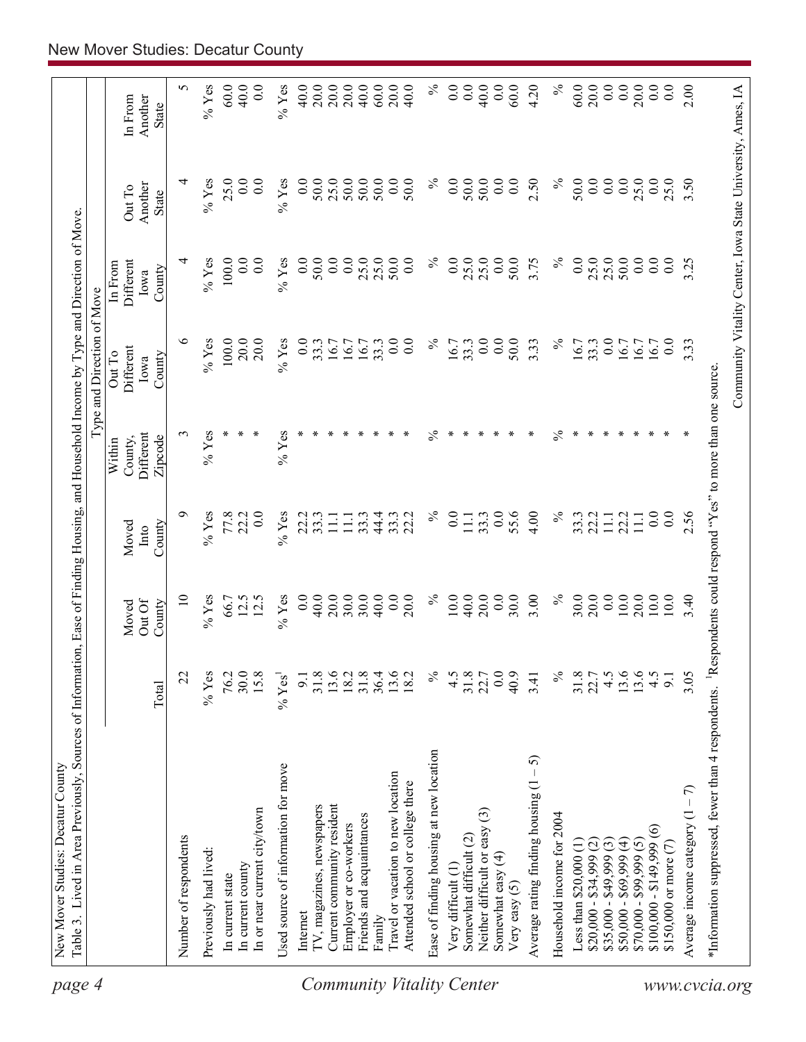| page 4                           | Table 3. Lived in Area Previously, Sources of Information, Ease of Finding Housing, and Household Income by Type and Direction of Move<br>New Mover Studies: Decatur County |                    |                           |                         |                                           |                                              |                                                            |                            |                                    |
|----------------------------------|-----------------------------------------------------------------------------------------------------------------------------------------------------------------------------|--------------------|---------------------------|-------------------------|-------------------------------------------|----------------------------------------------|------------------------------------------------------------|----------------------------|------------------------------------|
|                                  |                                                                                                                                                                             |                    |                           |                         |                                           | Type and Direction of Move                   |                                                            |                            |                                    |
|                                  |                                                                                                                                                                             | Total              | Out Of<br>Moved<br>County | County<br>Moved<br>Into | Different<br>Zipcode<br>County,<br>Within | <b>Different</b><br>Out To<br>County<br>Iowa | Different<br>In From<br>County<br>Iowa                     | Another<br>Out To<br>State | Another<br>In From<br><b>State</b> |
|                                  | Number of respondents                                                                                                                                                       | 22                 | $\overline{10}$           | Ó                       | 3                                         | ৩                                            | 4                                                          | 4                          | 5                                  |
|                                  | Previously had lived:                                                                                                                                                       | $\%$ Yes           | $%$ Yes                   | $%$ Yes                 | $%$ Yes                                   | $%$ Yes                                      | $%$ Yes                                                    | $%$ Yes                    | $%$ Yes                            |
|                                  | In current state                                                                                                                                                            | 76.2               | 66.7                      | 77.8                    | ∗                                         | 100.0                                        | 100.0                                                      | 25.0                       | 60.0                               |
|                                  | In current county                                                                                                                                                           | 30.0               | 12.5                      | 22.2                    | ⋇                                         | 20.0                                         | 0.0                                                        | 0.0                        | 40.0                               |
|                                  | In or near current city/town                                                                                                                                                | 15.8               | 12.5                      | 0.0                     | ∗                                         | 20.0                                         | 0.0                                                        | 0.0                        | 0.0                                |
|                                  | Used source of information for move                                                                                                                                         | $% \mathrm{Yes}^1$ | $%$ Yes                   | $%$ Yes                 | $%$ Yes                                   | $%$ Yes                                      | $%$ Yes                                                    | $%$ Yes                    | $%$ Yes                            |
|                                  | Internet                                                                                                                                                                    | 9.1                | 0.0                       | 22.2                    | ∗                                         | 0.0                                          | $\overline{0.0}$                                           | 0.0                        | 40.0                               |
|                                  | TV, magazines, newspapers                                                                                                                                                   | 31.8               | 40.0                      | 33.3                    |                                           | 33.3                                         | 50.0                                                       | 50.0                       | 20.0                               |
|                                  | Current community resident                                                                                                                                                  | 13.6               | 20.0                      | $\Xi$                   |                                           | 16.7                                         | 0.0                                                        | 25.0                       | 20.0                               |
|                                  | Employer or co-workers                                                                                                                                                      | 18.2               | 30.0                      | $11.1\,$                |                                           | 16.7                                         | 0.0                                                        | 50.0                       | 20.0                               |
|                                  | Friends and acquaintances                                                                                                                                                   | 31.8               | 30.0                      | 33.3                    |                                           | 16.7                                         | 25.0                                                       | 50.0                       | 40.0                               |
|                                  | Family                                                                                                                                                                      | 36.4               | 40.0                      | 44.4                    |                                           | 33.3                                         | 25.0                                                       | 50.0                       | 60.0                               |
| <b>Community Vitality Center</b> | Travel or vacation to new location<br>Attended school or college there                                                                                                      | 13.6<br>18.2       | 0.0<br>20.0               | 33.3<br>22.2            |                                           | 0.0<br>0.0                                   | 50.0<br>0.0                                                | 0.0<br>50.0                | 20.0<br>40.0                       |
|                                  | Ease of finding housing at new location                                                                                                                                     | $\%$               | $\%$                      | $\%$                    | $\%$                                      | $\%$                                         | $\%$                                                       | $\%$                       | $\%$                               |
|                                  | Very difficult (1)                                                                                                                                                          | 4.5                | $10.0$                    | 0.0                     | ⋇                                         | 16.7                                         | 0.0                                                        | 0.0                        | 0.0                                |
|                                  | Somewhat difficult (2)                                                                                                                                                      | $31.8$<br>$22.7$   | 40.0                      | 11.1                    |                                           | 33.3                                         | 25.0                                                       | 50.0                       | 0.0                                |
|                                  | Neither difficult or easy (3)                                                                                                                                               |                    | 20.0                      | 33.3                    |                                           | 0.0                                          | 25.0                                                       | 50.0                       | 40.0                               |
|                                  | Somewhat easy (4)                                                                                                                                                           | $\overline{0.0}$   | 0.0                       | 0.0                     |                                           | 0.0                                          | 0.0                                                        | 0.0                        | 0.0                                |
|                                  | Very easy (5)                                                                                                                                                               | 40.9               | 30.0                      | 55.6                    |                                           | 50.0                                         | 50.0                                                       | 0.0                        | 60.0                               |
|                                  | - 5)<br>Average rating finding housing (1                                                                                                                                   | 3.41               | 3.00                      | 4.00                    | ∗                                         | 3.33                                         | 3.75                                                       | 2.50                       | 4.20                               |
|                                  | Household income for 2004                                                                                                                                                   | $\%$               | $\%$                      | $\%$                    | $\%$                                      | $\%$                                         | $\%$                                                       | $\%$                       | $\%$                               |
|                                  | Less than $$20,000(1)$                                                                                                                                                      | 31.8               | 30.0                      | 33.3                    | ∗                                         | 16.7                                         | 0.0                                                        | 50.0                       | 60.0                               |
|                                  | $$20,000 - $34,999 (2)$                                                                                                                                                     | 22.7               | 20.0                      | 22.2                    |                                           | 33.3                                         | 25.0                                                       | 0.0                        | 20.0                               |
|                                  | $$35,000 - $49,999(3)$                                                                                                                                                      | 4.5                | 0.0                       | $\overline{111}$        |                                           | 0.0                                          | 25.0                                                       | 0.0                        | 0.0                                |
|                                  | $$50,000 - $69,999(4)$                                                                                                                                                      | 13.6               | $10.0$                    | 22.2                    | ∗                                         | 16.7                                         | 50.0                                                       | 0.0                        | 0.0                                |
|                                  | $$70,000 - $99,999(5)$                                                                                                                                                      | 13.6               | 20.0                      | $\Xi$                   | Y.                                        | 16.7                                         | 0.0                                                        | 25.0                       | 20.0                               |
|                                  | $$100,000 - $149,999(6)$                                                                                                                                                    | 4.5                | 10.0                      | 0.0                     |                                           | 16.7                                         | 0.0                                                        | 0.0                        | 0.0                                |
|                                  | \$150,000 or more $(7)$                                                                                                                                                     | 9.1                | $10.0$                    | 0.0                     |                                           | 0.0                                          | 0.0                                                        | 25.0                       | 0.0                                |
|                                  | Average income category $(1 - 7)$                                                                                                                                           | 3.05               | 3.40                      | 2.56                    |                                           | 3.33                                         | 3.25                                                       | 3.50                       | 2.00                               |
|                                  | *Information suppressed, fewer than 4 respondents. <sup>1</sup> Respondents could respond "Yes" to more than one source                                                     |                    |                           |                         |                                           |                                              |                                                            |                            |                                    |
| www.cvcia.org                    |                                                                                                                                                                             |                    |                           |                         |                                           |                                              | Community Vitality Center, Iowa State University, Ames, IA |                            |                                    |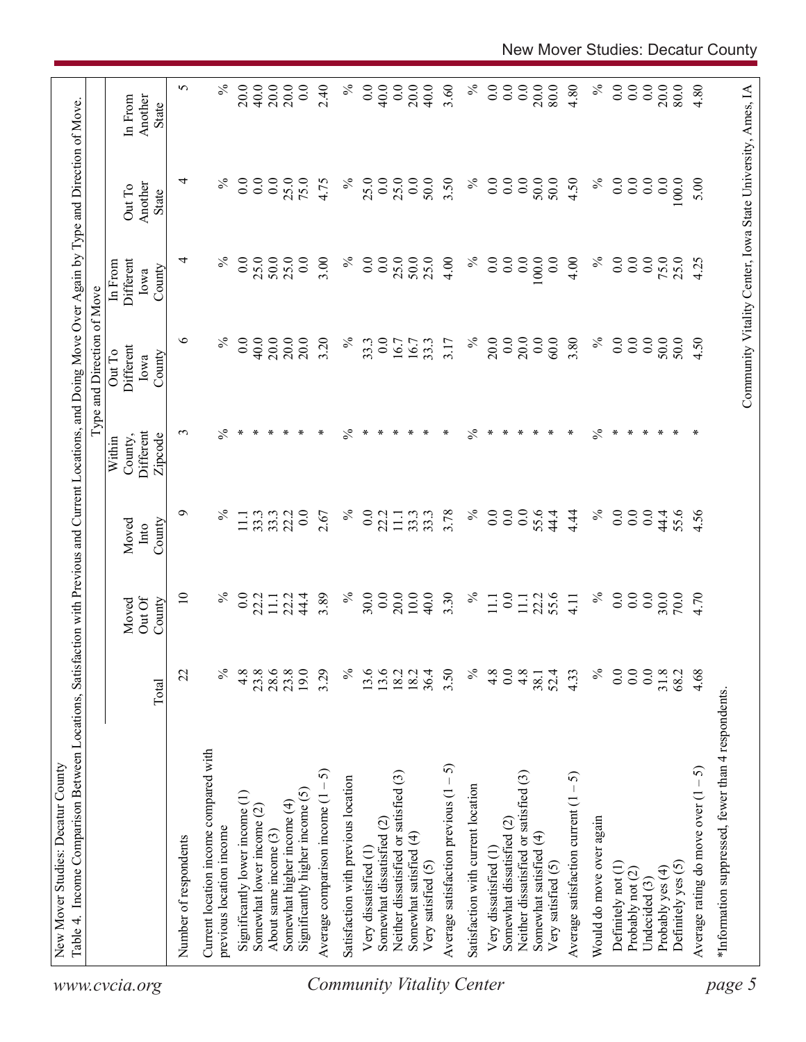|                                  | Table 4. Income Comparison Between Locations, Satisfaction with Previous and Current Locations, and Doing Move Over Again by Type and Direction of Move |                  |                           |                         |                                           | Type and Direction of Move                                 |                                        |                            |                                    |
|----------------------------------|---------------------------------------------------------------------------------------------------------------------------------------------------------|------------------|---------------------------|-------------------------|-------------------------------------------|------------------------------------------------------------|----------------------------------------|----------------------------|------------------------------------|
| www.cvcia.org                    |                                                                                                                                                         | Total            | Out Of<br>Moved<br>County | Moved<br>County<br>Into | Different<br>Zipcode<br>County,<br>Within | Different<br>Out To<br>County<br>Iowa                      | Different<br>In From<br>County<br>Iowa | Another<br>Out To<br>State | In From<br>Another<br><b>State</b> |
|                                  | Number of respondents                                                                                                                                   | 22               | $\overline{10}$           | Ō                       | $\epsilon$                                | ७                                                          | 4                                      | 4                          | 5                                  |
|                                  | Current location income compared with<br>previous location income                                                                                       | $\%$             | $\%$                      | న                       | $\%$                                      | $\%$                                                       | $\%$                                   | $\%$                       | $\%$                               |
|                                  | Significantly lower income (1)                                                                                                                          | 4.8              | 0.0                       | $11.1\,$                | ∗                                         | 0.0                                                        | $0.0\,$                                | 0.0                        | 20.0                               |
|                                  | Somewhat lower income (2)                                                                                                                               | 23.8             | 22.2                      | 33.3                    | ∗                                         | 40.0                                                       | 25.0                                   | 0.0                        | 40.0                               |
|                                  | About same income (3)                                                                                                                                   | 28.6             | $11.1\,$                  | 33.3                    | ∗                                         | 20.0                                                       | 50.0                                   | $\overline{0.0}$           | 20.0                               |
|                                  | Somewhat higher income (4)                                                                                                                              | 23.8             | 22.2                      | 22.2                    |                                           | 20.0                                                       | 25.0                                   | 25.0                       | 20.0                               |
|                                  | Significantly higher income (5)                                                                                                                         | 19.0             | 44.4                      | 0.0                     |                                           | 20.0                                                       | 0.0                                    | 75.0                       | 0.0                                |
|                                  | ନ<br>Average comparison income (1 -                                                                                                                     | 3.29             | 3.89                      | 2.67                    | ∗                                         | 3.20                                                       | 3.00                                   | 4.75                       | 2.40                               |
|                                  | Satisfaction with previous location                                                                                                                     | $\%$             | $\%$                      | $\%$                    | $\frac{5}{6}$                             | $\%$                                                       | $\%$                                   | $\%$                       | $\%$                               |
|                                  | Very dissatisfied (1                                                                                                                                    | 13.6             | 30.0                      | 0.0                     |                                           | 33.3                                                       | 0.0                                    | 25.0                       | 0.0                                |
|                                  | Somewhat dissatisfied (2)                                                                                                                               | 13.6             | 0.0                       | 22.2                    | ∗                                         | 0.0                                                        | 0.0                                    | 0.0                        | 40.0                               |
|                                  | Neither dissatisfied or satisfied (3)                                                                                                                   | 18.2             | 20.0                      | $11.1\,$                | ∗                                         | 16.7                                                       | 25.0                                   | 25.0                       | 0.0                                |
|                                  | Somewhat satisfied (4)                                                                                                                                  | 18.2             | 10.0                      | 33.3                    | ∗                                         | 16.7                                                       | 50.0                                   | 0.0                        | 20.0                               |
|                                  | Very satisfied (5)                                                                                                                                      | 36.4             | 40.0                      | 33.3                    | ∗                                         | 33.3                                                       | 25.0                                   | 50.0                       | 40.0                               |
|                                  | Average satisfaction previous $(1 - 5)$                                                                                                                 | 3.50             | 3.30                      | 3.78                    | ∗                                         | 3.17                                                       | 4.00                                   | 3.50                       | 3.60                               |
| <b>Community Vitality Center</b> | Satisfaction with current location                                                                                                                      | $\%$             | $\%$                      | $\%$                    | $\%$                                      | $\%$                                                       | $\%$                                   | $\%$                       | $\%$                               |
|                                  | Very dissatisfied (1)                                                                                                                                   | 4.8              | $\Xi$                     | $\overline{0.0}$        | ∗                                         | 20.0                                                       | $\overline{0}$ .                       | $\overline{0}$ .           | 0.0                                |
|                                  | Somewhat dissatisfied (2)                                                                                                                               | 0.0              | 0.0                       | $\overline{0.0}$        | ∗                                         | 0.0                                                        | 0.0                                    | 0.0                        | 0.0                                |
|                                  | Neither dissatisfied or satisfied (3)                                                                                                                   | 4.8              | 11.1                      | $\overline{0.0}$        | ∗                                         | 20.0                                                       | 0.0                                    | $\overline{0.0}$           | 0.0                                |
|                                  | Somewhat satisfied (4)                                                                                                                                  | 38.1             | 22.2                      | 55.6                    |                                           | 0.0                                                        | 100.0                                  | 50.0                       | 20.0                               |
|                                  | Very satisfied (5)                                                                                                                                      | 52.4             |                           | 44.4                    | ∗                                         | 60.0                                                       | 0.0                                    | 50.0                       | 80.0                               |
|                                  | 5<br>Average satisfaction current $(1 -$                                                                                                                | 4.33             | 4.11                      | 4.44                    | ∗                                         | 3.80                                                       | 4.00                                   | 4.50                       | 4.80                               |
|                                  | Would do move over again                                                                                                                                | $\%$             | $\%$                      | $\%$                    | $\%$                                      | $\%$                                                       | $\%$                                   | $\%$                       | $\%$                               |
|                                  | Definitely not (1)                                                                                                                                      | $\overline{0}$ . | 0.0                       | 0.0                     | ∗                                         | 0.0                                                        | 0.0                                    | 0.0                        | 0.0                                |
|                                  | Probably not (2)                                                                                                                                        | 0.0              | 0.0                       | $\overline{0}$ .        | ∗                                         | 0.0                                                        | 0.0                                    | 0.0                        | 0.0                                |
|                                  | Undecided (3)                                                                                                                                           | $\overline{0.0}$ | 0.0                       | $\overline{0.0}$        | $\ast$                                    | $\overline{0}$ .                                           | 0.0                                    | 0.0                        | 0.0                                |
|                                  | Probably yes (4)                                                                                                                                        | 31.8             | 30.0                      | 44.4                    |                                           | 50.0                                                       | 75.0                                   | $\overline{0}$ .           | 20.0                               |
|                                  | Definitely yes (5)                                                                                                                                      | 68.2             | 70.0                      | 55.6                    |                                           | 50.0                                                       | 25.0                                   | 100.0                      | 80.0                               |
|                                  | Average rating do move over $(1 – 5)$                                                                                                                   | 4.68             | 4.70                      | 4.56                    | ∗                                         | 4.50                                                       | 4.25                                   | 5.00                       | 4.80                               |
| page 5                           | *Information suppressed, fewer than 4 respondents.                                                                                                      |                  |                           |                         |                                           |                                                            |                                        |                            |                                    |
|                                  |                                                                                                                                                         |                  |                           |                         |                                           | Community Vitality Center, Iowa State University, Ames, IA |                                        |                            |                                    |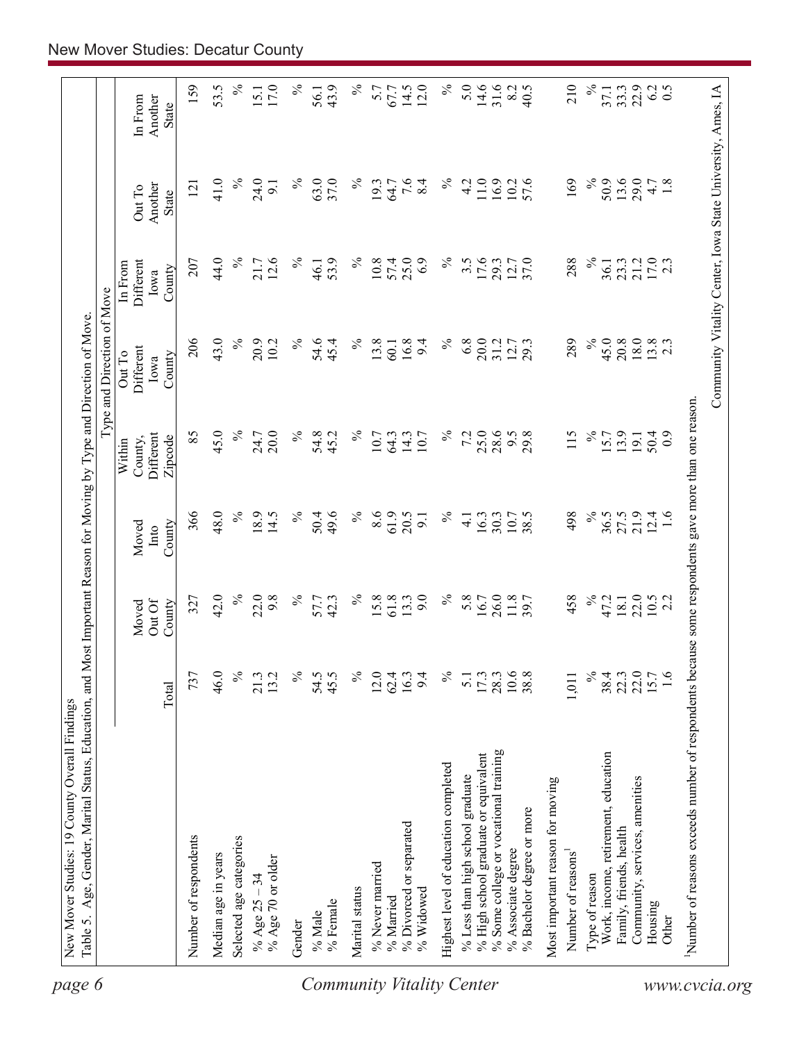| Different<br>Zipcode<br>County,<br>Within<br>48.0<br>$\%$<br>61.9<br>366<br>18.9<br>14.5<br>$\%$<br>49.6<br>$\%$<br>8.6<br>$\%$<br>50.4<br>20.5<br>16.3<br>30.3<br>$\overline{4}$ .<br>$\overline{9}$<br>County<br>Moved<br>Into<br>42.0<br>$\%$<br>$\%$<br>$\%$<br>$\%$<br>22.0<br>9.8<br>61.8<br>9.0<br>5.8<br>26.0<br>42.3<br>15.8<br>13.3<br>327<br>16.7<br>57.7<br>Out Of<br>County<br>Moved<br>$\%$<br>46.0<br>$\%$<br>$\%$<br>$\%$<br>10.6<br>737<br>21.3<br>13.2<br>54.5<br>45.5<br>12.0<br>62.4<br>16.3<br>9.4<br>17.3<br>28.3<br>$\overline{5}$ .<br>Total<br>% Some college or vocational training<br>% High school graduate or equivalent<br>Highest level of education completed<br>% Less than high school graduate<br>% Divorced or separated<br>Number of respondents<br>Selected age categories<br>% Associate degree<br>Median age in years<br>% Age 70 or older<br>% Never married<br>% Age $25 - 34$<br>Marital status<br>% Widowed<br>% Married<br>% Female<br>% Male<br>Gender | Type and Direction of Move<br>43.0<br>206<br>$\%$<br>$\%$<br>20.9<br>54.6<br>$\%$<br>13.8<br>16.8<br>10.2<br>45.4<br>9.4<br>60.1<br>Different<br>Out To<br>County<br>Iowa<br>45.0<br>$\%$<br>85<br>$\%$<br>20.0<br>24.7<br>$\%$<br>54.8<br>10.7<br>14.3<br>45.2<br>64.3<br>10.7 | 44.0<br>$\%$<br>12.6<br>21.7<br>$\%$<br>53.9<br>$\%$<br>Different<br>207<br>46.1<br>In From<br>County<br>Iowa | $\%$<br>24.0<br>41.0<br>℅<br>63.0<br>37.0<br>121<br>9.1<br>Another<br>Out To<br><b>State</b> | 53.5<br>$\%$<br>159<br>15.1<br>17.0<br>Another<br>In From<br>State |
|------------------------------------------------------------------------------------------------------------------------------------------------------------------------------------------------------------------------------------------------------------------------------------------------------------------------------------------------------------------------------------------------------------------------------------------------------------------------------------------------------------------------------------------------------------------------------------------------------------------------------------------------------------------------------------------------------------------------------------------------------------------------------------------------------------------------------------------------------------------------------------------------------------------------------------------------------------------------------------------------------|---------------------------------------------------------------------------------------------------------------------------------------------------------------------------------------------------------------------------------------------------------------------------------|---------------------------------------------------------------------------------------------------------------|----------------------------------------------------------------------------------------------|--------------------------------------------------------------------|
|                                                                                                                                                                                                                                                                                                                                                                                                                                                                                                                                                                                                                                                                                                                                                                                                                                                                                                                                                                                                      |                                                                                                                                                                                                                                                                                 |                                                                                                               |                                                                                              |                                                                    |
|                                                                                                                                                                                                                                                                                                                                                                                                                                                                                                                                                                                                                                                                                                                                                                                                                                                                                                                                                                                                      |                                                                                                                                                                                                                                                                                 |                                                                                                               |                                                                                              |                                                                    |
|                                                                                                                                                                                                                                                                                                                                                                                                                                                                                                                                                                                                                                                                                                                                                                                                                                                                                                                                                                                                      |                                                                                                                                                                                                                                                                                 |                                                                                                               |                                                                                              |                                                                    |
|                                                                                                                                                                                                                                                                                                                                                                                                                                                                                                                                                                                                                                                                                                                                                                                                                                                                                                                                                                                                      |                                                                                                                                                                                                                                                                                 |                                                                                                               |                                                                                              |                                                                    |
| <b>Community Vitality Center</b>                                                                                                                                                                                                                                                                                                                                                                                                                                                                                                                                                                                                                                                                                                                                                                                                                                                                                                                                                                     |                                                                                                                                                                                                                                                                                 |                                                                                                               |                                                                                              |                                                                    |
|                                                                                                                                                                                                                                                                                                                                                                                                                                                                                                                                                                                                                                                                                                                                                                                                                                                                                                                                                                                                      |                                                                                                                                                                                                                                                                                 |                                                                                                               |                                                                                              | $\%$                                                               |
|                                                                                                                                                                                                                                                                                                                                                                                                                                                                                                                                                                                                                                                                                                                                                                                                                                                                                                                                                                                                      |                                                                                                                                                                                                                                                                                 |                                                                                                               |                                                                                              | 43.9<br>56.1                                                       |
|                                                                                                                                                                                                                                                                                                                                                                                                                                                                                                                                                                                                                                                                                                                                                                                                                                                                                                                                                                                                      |                                                                                                                                                                                                                                                                                 |                                                                                                               | $\%$                                                                                         | $\%$                                                               |
|                                                                                                                                                                                                                                                                                                                                                                                                                                                                                                                                                                                                                                                                                                                                                                                                                                                                                                                                                                                                      |                                                                                                                                                                                                                                                                                 |                                                                                                               |                                                                                              |                                                                    |
|                                                                                                                                                                                                                                                                                                                                                                                                                                                                                                                                                                                                                                                                                                                                                                                                                                                                                                                                                                                                      |                                                                                                                                                                                                                                                                                 | 10.8<br>57.4                                                                                                  | 19.3<br>64.7                                                                                 | 5.7<br>67.7                                                        |
|                                                                                                                                                                                                                                                                                                                                                                                                                                                                                                                                                                                                                                                                                                                                                                                                                                                                                                                                                                                                      |                                                                                                                                                                                                                                                                                 | 25.0                                                                                                          |                                                                                              | 14.5                                                               |
|                                                                                                                                                                                                                                                                                                                                                                                                                                                                                                                                                                                                                                                                                                                                                                                                                                                                                                                                                                                                      |                                                                                                                                                                                                                                                                                 | 6.9                                                                                                           | $7.6$<br>8.4                                                                                 | 12.0                                                               |
|                                                                                                                                                                                                                                                                                                                                                                                                                                                                                                                                                                                                                                                                                                                                                                                                                                                                                                                                                                                                      | $\%$<br>$\%$                                                                                                                                                                                                                                                                    | $\%$                                                                                                          | $\%$                                                                                         | $\%$                                                               |
|                                                                                                                                                                                                                                                                                                                                                                                                                                                                                                                                                                                                                                                                                                                                                                                                                                                                                                                                                                                                      | 6.8<br>7.2                                                                                                                                                                                                                                                                      | $3.\overline{5}$                                                                                              | 4.2                                                                                          | 5.0                                                                |
|                                                                                                                                                                                                                                                                                                                                                                                                                                                                                                                                                                                                                                                                                                                                                                                                                                                                                                                                                                                                      | 20.0<br>25.0                                                                                                                                                                                                                                                                    | 17.6                                                                                                          | 11.0                                                                                         | 14.6                                                               |
|                                                                                                                                                                                                                                                                                                                                                                                                                                                                                                                                                                                                                                                                                                                                                                                                                                                                                                                                                                                                      | 31.2<br>28.6                                                                                                                                                                                                                                                                    | 29.3                                                                                                          | 16.9                                                                                         | 31.6                                                               |
| 10.7<br>38.5<br>11.8<br>38.8<br>% Bachelor degree or more                                                                                                                                                                                                                                                                                                                                                                                                                                                                                                                                                                                                                                                                                                                                                                                                                                                                                                                                            | 12.7<br>9.5<br>29.8                                                                                                                                                                                                                                                             | 37.0                                                                                                          | 57.6<br>10.2                                                                                 | 8.2<br>40.5                                                        |
| Most important reason for moving                                                                                                                                                                                                                                                                                                                                                                                                                                                                                                                                                                                                                                                                                                                                                                                                                                                                                                                                                                     |                                                                                                                                                                                                                                                                                 |                                                                                                               |                                                                                              |                                                                    |
| 498<br>458<br>1,011<br>Number of reasons <sup>1</sup>                                                                                                                                                                                                                                                                                                                                                                                                                                                                                                                                                                                                                                                                                                                                                                                                                                                                                                                                                | 289<br>115                                                                                                                                                                                                                                                                      | 288                                                                                                           | 169                                                                                          | 210                                                                |
| $\%$<br>$\%$<br>$\%$<br>Type of reason                                                                                                                                                                                                                                                                                                                                                                                                                                                                                                                                                                                                                                                                                                                                                                                                                                                                                                                                                               | $\%$<br>$\%$                                                                                                                                                                                                                                                                    | $\%$                                                                                                          | $\%$                                                                                         | $\%$                                                               |
| 36.5<br>47.2<br>38.4<br>Work, income, retirement, education                                                                                                                                                                                                                                                                                                                                                                                                                                                                                                                                                                                                                                                                                                                                                                                                                                                                                                                                          | 45.0<br>15.7                                                                                                                                                                                                                                                                    | 36.1                                                                                                          | 50.9                                                                                         | 37.1                                                               |
| 27.5<br>18.1<br>22.3<br>Family, friends, health                                                                                                                                                                                                                                                                                                                                                                                                                                                                                                                                                                                                                                                                                                                                                                                                                                                                                                                                                      | 20.8<br>13.9                                                                                                                                                                                                                                                                    | 23.3                                                                                                          | 13.6                                                                                         | 33.3                                                               |
| 21.9<br>22.0<br>22.0<br>Community, services, amenities                                                                                                                                                                                                                                                                                                                                                                                                                                                                                                                                                                                                                                                                                                                                                                                                                                                                                                                                               | 18.0<br>191                                                                                                                                                                                                                                                                     | 21.2                                                                                                          | 29.0                                                                                         | 22.9                                                               |
| 12.4<br>1.6<br>$10.5$<br>2.2<br>1.6<br>Housing<br>Other                                                                                                                                                                                                                                                                                                                                                                                                                                                                                                                                                                                                                                                                                                                                                                                                                                                                                                                                              | $13.8$<br>2.3<br>50.4<br>$_{0.9}$                                                                                                                                                                                                                                               | 17.0<br>2.3                                                                                                   | 1.8<br>4.7                                                                                   | 6.2<br>$\overline{0.5}$                                            |
|                                                                                                                                                                                                                                                                                                                                                                                                                                                                                                                                                                                                                                                                                                                                                                                                                                                                                                                                                                                                      |                                                                                                                                                                                                                                                                                 |                                                                                                               |                                                                                              |                                                                    |
| Number of reasons exceeds number of respondents because some respondents gave more than one reason.<br>www.cvcia.org                                                                                                                                                                                                                                                                                                                                                                                                                                                                                                                                                                                                                                                                                                                                                                                                                                                                                 |                                                                                                                                                                                                                                                                                 |                                                                                                               |                                                                                              |                                                                    |
|                                                                                                                                                                                                                                                                                                                                                                                                                                                                                                                                                                                                                                                                                                                                                                                                                                                                                                                                                                                                      | Community Vitality Center, Iowa State University, Ames, IA                                                                                                                                                                                                                      |                                                                                                               |                                                                                              |                                                                    |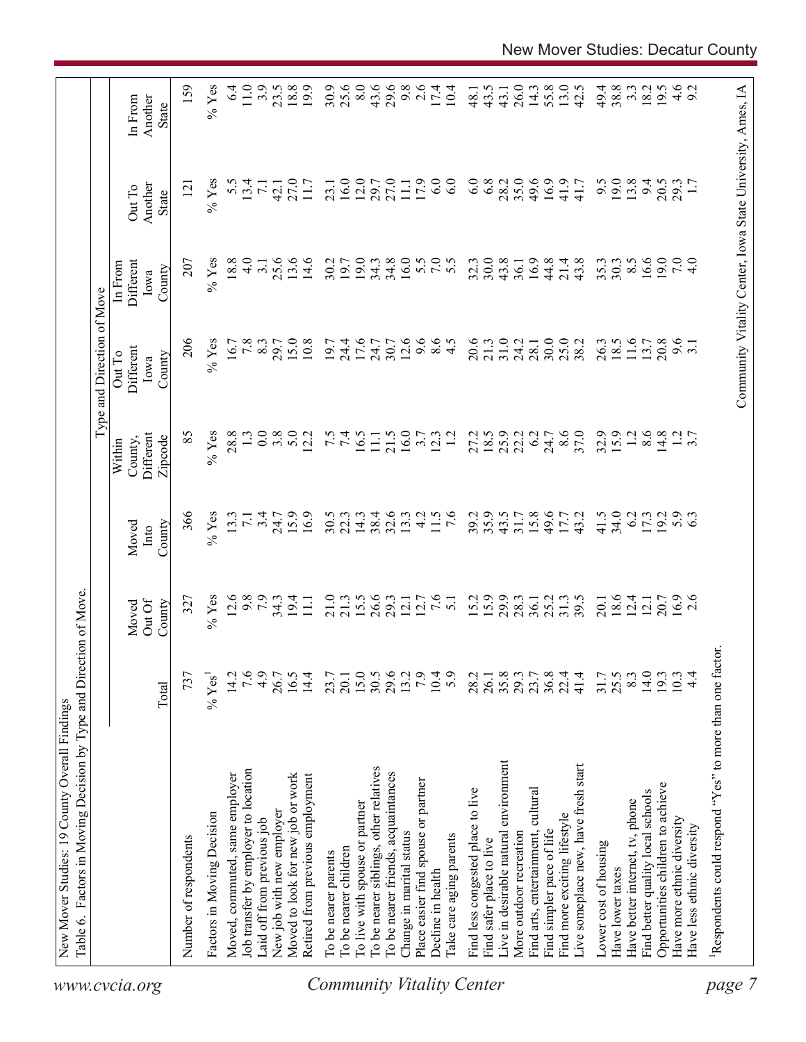|                                  | Table 6. Factors in Moving Decision by Type and Direction of Move. |                  |                           |                         |                                           | Type and Direction of Move            |                                        |                                                            |                                    |
|----------------------------------|--------------------------------------------------------------------|------------------|---------------------------|-------------------------|-------------------------------------------|---------------------------------------|----------------------------------------|------------------------------------------------------------|------------------------------------|
| www.cvcia.org                    |                                                                    | Total            | Out Of<br>County<br>Moved | County<br>Moved<br>Into | Different<br>Zipcode<br>County,<br>Within | Different<br>Out To<br>County<br>Iowa | Different<br>In From<br>County<br>Iowa | Another<br>Out To<br>State                                 | Another<br>In From<br><b>State</b> |
|                                  | Number of respondents                                              | 737              | 327                       | 366                     | 85                                        | 206                                   | 207                                    | $\overline{2}$                                             | 159                                |
|                                  | Factors in Moving Decision                                         | $\%$ Yes         | $%$ Yes                   | $%$ Yes                 | $%$ Yes                                   | $%$ Yes                               | $%$ Yes                                | $%$ Yes                                                    | $%$ Yes                            |
|                                  | Moved, commuted, same employer                                     | 14.2             | 12.6                      | 13.3                    | 28.8                                      | 16.7                                  | 18.8                                   | 5.5                                                        | 6.4                                |
|                                  | Job transfer by employer to location                               | 7.6              | 9.8                       | $\overline{7.1}$        |                                           | 7.8                                   | $\frac{0}{4}$                          | 13.4                                                       | 11.0                               |
|                                  | Laid off from previous job                                         | 4.9              | 7.9                       | 3.4                     | 0.0                                       | 8.3                                   | 3.1                                    | $\overline{71}$                                            | 3.9                                |
|                                  | New job with new employer                                          | 26.7             | $34.3$<br>19.4            | 24.7                    | 3.8                                       | 29.7                                  | 25.6                                   | 42.1                                                       | 23.5                               |
|                                  | Moved to look for new job or work                                  | 16.5             |                           | 15.9                    | 5.0                                       | 15.0                                  | 13.6                                   | 27.0                                                       | 18.8                               |
|                                  | Retired from previous employment                                   | 14.4             | $\Xi$                     | 16.9                    | 12.2                                      | 10.8                                  | 14.6                                   | 11.7                                                       | 19.9                               |
|                                  | To be nearer parents                                               | 23.7             | 21.0                      | 30.5                    |                                           | 19.7                                  | 30.2                                   | 23.1                                                       | 30.9                               |
|                                  | To be nearer children                                              | 20.1             | 21.3                      | 22.3                    | $7.\overline{5}$                          | 24.4                                  | 19.7                                   | 16.0                                                       | 25.6                               |
|                                  | To live with spouse or partner                                     |                  | 15.5                      | 14.3                    | 16.5                                      | 17.6                                  | 19.0                                   | 12.0                                                       | 8.0                                |
|                                  | To be nearer siblings, other relatives                             | $15.0$<br>$30.5$ | 26.6                      | 38.4                    | $\Xi$                                     | 24.7                                  | 34.3                                   | 29.7                                                       | 43.6                               |
|                                  | To be nearer friends, acquaintances                                | 29.6             | 29.3                      | 32.6                    | 21.5                                      | 30.7                                  | 34.8                                   | 27.0                                                       | 29.6                               |
|                                  | Change in marital status                                           | 13.2             | 12.1                      | 13.3                    | 16.0                                      | 12.6                                  | 16.0                                   | $\overline{111}$                                           | 9.8                                |
|                                  | Place easier find spouse or partner                                | 7.9              | 12.7                      | $\frac{1}{4}$           | 3.7                                       | 9.6                                   |                                        | 17.9                                                       | 2.6                                |
|                                  | Decline in health                                                  | 10.4             | 7.6                       | 11.5                    | 12.3                                      | $\frac{6}{4}$ .5                      | 5.0000                                 | 6.0                                                        | 17.4                               |
| <b>Community Vitality Center</b> | Take care aging parents                                            | 5.9              | $\overline{51}$           | $\overline{7.6}$        | $\overline{12}$                           |                                       |                                        | 6.0                                                        | 10.4                               |
|                                  | Find less congested place to live                                  | 28.2             | 15.2                      | 39.2                    | 27.2                                      | 20.6                                  | 32.3                                   | 6.0                                                        | 48.1                               |
|                                  | Find safer place to live                                           | 26.1             | 15.9                      | 35.9                    | 18.5                                      | 21.3                                  | 30.0                                   | 6.8                                                        | 43.5                               |
|                                  | Live in desirable natural environment                              | 35.8             | 29.9                      | 43.5                    | 25.9                                      | 31.0                                  | 43.8                                   | 28.2                                                       | 43.1                               |
|                                  | More outdoor recreation                                            | 29.3             | 28.3                      | 31.7                    | 22.2                                      | 24.2                                  | 36.1                                   | 35.0                                                       | 26.0                               |
|                                  | Find arts, entertainment, cultural                                 | 23.7             | 36.1                      | 15.8                    | 6.2                                       | 28.1                                  | 16.9                                   | 49.6                                                       | 14.3                               |
|                                  | Find simpler pace of life                                          | $36.8$<br>$22.4$ | 25.2                      | 49.6                    | 24.7                                      | 30.0                                  | 44.8                                   | 16.9                                                       | 55.8                               |
|                                  | Find more exciting lifestyle                                       |                  | 31.3                      | 17.7                    | 8.6                                       | 25.0                                  | 21.4                                   | 41.9                                                       | 13.0                               |
|                                  | Live someplace new, have fresh start                               | 41.4             | 39.5                      | 43.2                    | 37.0                                      | 38.2                                  | 43.8                                   | 41.7                                                       | 42.5                               |
|                                  | Lower cost of housing                                              | 31.7             | 20.1                      | 41.5                    | 32.9                                      | 26.3                                  | 35.3                                   | 9.5                                                        | 49.4                               |
|                                  | Have lower taxes                                                   | 25.5             | 18.6                      | 34.0                    | 15.9                                      | 18.5                                  | 30.3                                   | 19.0                                                       | 38.8                               |
|                                  | Have better internet, tv, phone                                    | 8.3              | 12.4                      | 6.2                     | 1.2                                       | 11.6                                  | $8.\overline{5}$                       | 13.8                                                       | $3.\overline{3}$                   |
|                                  | Find better quality local schools                                  | 14.0             | 12.1                      | 17.3                    | 8.6                                       | 13.7                                  | 16.6                                   | 94                                                         | 18.2                               |
|                                  | Opportunities children to achieve                                  | 193              | 20.7                      | 19.2                    | 14.8                                      | 20.8                                  | 19.0                                   | 20.5                                                       | 19.5                               |
|                                  | Have more ethnic diversity                                         | 10.3             | $16.9$<br>2.6             | 5.9                     |                                           | 9.6                                   | 7.0                                    | 29.3                                                       |                                    |
|                                  | Have less ethnic diversity                                         | $\frac{4}{4}$    |                           |                         | $\frac{1}{3}$ .7                          |                                       | $\frac{1}{4}$                          |                                                            | $4.6$<br>9.2                       |
| page                             | Respondents could respond "Yes" to more than one factor            |                  |                           |                         |                                           |                                       |                                        |                                                            |                                    |
|                                  |                                                                    |                  |                           |                         |                                           |                                       |                                        |                                                            |                                    |
|                                  |                                                                    |                  |                           |                         |                                           |                                       |                                        | Community Vitality Center, Iowa State University, Ames, IA |                                    |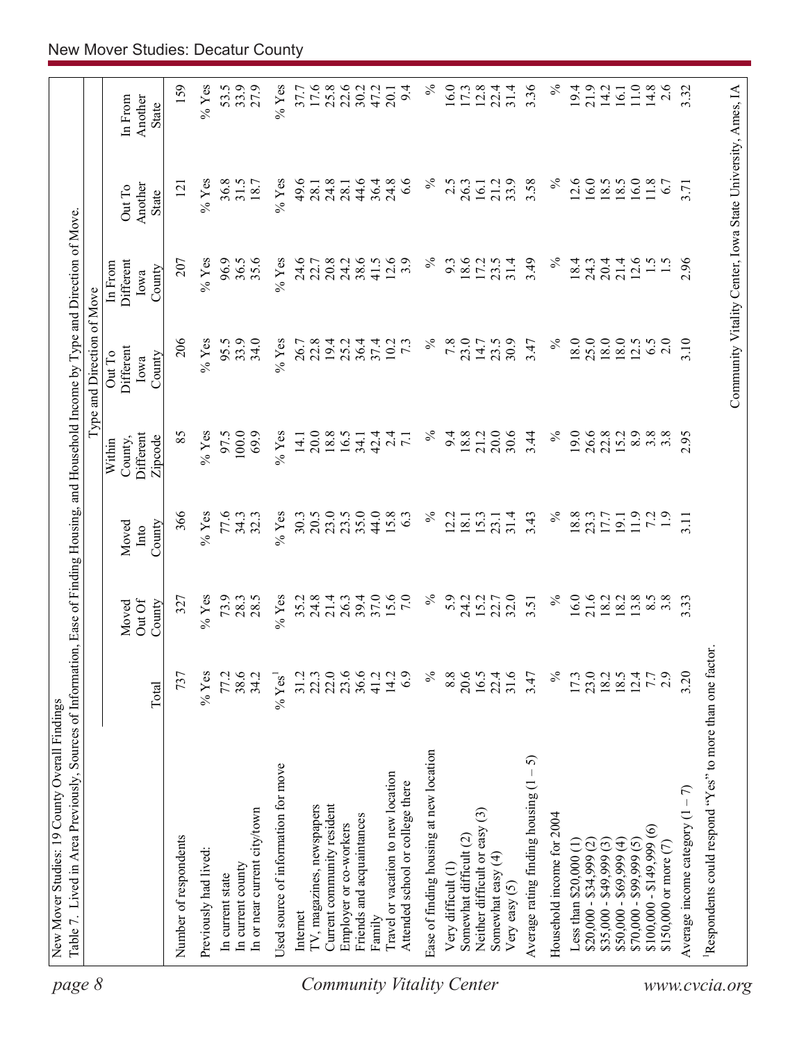| page 8                           | Table 7. Lived in Area Previously, Sources of Information, Ease of Finding Housing, and Household Income by Type and Direction of Move |                      |                           |                         |                                           | Type and Direction of Move                                 |                                        |                            |                             |
|----------------------------------|----------------------------------------------------------------------------------------------------------------------------------------|----------------------|---------------------------|-------------------------|-------------------------------------------|------------------------------------------------------------|----------------------------------------|----------------------------|-----------------------------|
|                                  |                                                                                                                                        | Total                | Out Of<br>County<br>Moved | County<br>Moved<br>Into | Different<br>Zipcode<br>County,<br>Within | Different<br>Out To<br>County<br>Iowa                      | Different<br>In From<br>County<br>Iowa | Another<br>Out To<br>State | Another<br>In From<br>State |
|                                  |                                                                                                                                        |                      |                           |                         |                                           |                                                            |                                        |                            |                             |
|                                  | Number of respondents                                                                                                                  | 737                  | 327                       | 366                     | 85                                        | 206                                                        | 207                                    | $\overline{121}$           | 159                         |
|                                  | Previously had lived:                                                                                                                  | $%$ Yes              | $%$ Yes                   | $\%$ Yes                | $%$ Yes                                   | $%$ Yes                                                    | $%$ Yes                                | $\%$ Yes                   | $\%$ Yes                    |
|                                  | In current state                                                                                                                       | 77.2                 | 73.9                      | 77.6                    | 97.5                                      | 95.5                                                       | 96.9                                   | 36.8                       | 53.5                        |
|                                  | In current county                                                                                                                      | 38.6                 | 28.3                      | 34.3                    | 100.0                                     | 33.9                                                       | 36.5                                   | 31.5                       | 33.9                        |
|                                  | In or near current city/town                                                                                                           | 34.2                 | 28.5                      | 32.3                    | 69.9                                      | 34.0                                                       | 35.6                                   | 18.7                       | 27.9                        |
|                                  | Used source of information for move                                                                                                    | $%$ Yes <sup>1</sup> | $%$ Yes                   | $\%$ Yes                | $\%$ Yes                                  | $%$ Yes                                                    | $%$ Yes                                | $%$ Yes                    | $\%$ Yes                    |
|                                  | Internet                                                                                                                               | 31.2                 | 35.2                      | 30.3                    | 14.1                                      | 26.7                                                       | 24.6                                   | 49.6                       | 37.7                        |
|                                  | TV, magazines, newspapers                                                                                                              | 22.3                 | 24.8                      | 20.5                    | 20.0                                      | 22.8                                                       | 22.7                                   | 28.1                       | 17.6                        |
|                                  | Current community resident                                                                                                             | 22.0                 | 21.4                      | 23.0                    | 18.8                                      | 19.4                                                       | 20.8                                   |                            | 25.8                        |
|                                  | Employer or co-workers                                                                                                                 | 23.6                 | 26.3                      | 23.5                    | 16.5                                      | 25.2                                                       | 24.2                                   | $24.8$<br>28.1             | 22.6                        |
|                                  | Friends and acquaintances                                                                                                              | 36.6                 | 39.4                      | 35.0                    | 34.1                                      | 36.4                                                       | 38.6                                   | 44.6                       | 30.2                        |
|                                  | Family                                                                                                                                 | 41.2                 | 37.0                      | 44.0                    | 42.4                                      | 37.4                                                       | 41.5                                   | 36.4                       | 47.2                        |
|                                  | Travel or vacation to new location                                                                                                     | 14.2                 | 15.6                      | 15.8                    | $\overline{24}$                           | 10.2                                                       | 12.6                                   | 24.8                       | 20.1                        |
|                                  | Attended school or college there                                                                                                       | 6.9                  | $7.0\,$                   | 6.3                     | $\overline{7.1}$                          | $7\overline{3}$                                            | 3.9                                    | 6.6                        | 9.4                         |
| <b>Community Vitality Center</b> | Ease of finding housing at new location                                                                                                | $\%$                 | $\%$                      | $\%$                    | $\%$                                      | $\%$                                                       | $\%$                                   | $\%$                       | $\%$                        |
|                                  | Very difficult (1)                                                                                                                     | 8.8                  | 5.9                       | 2.2                     | 9.4                                       | 7.8                                                        | 9.3                                    | 2.5                        | 16.0                        |
|                                  | Somewhat difficult (2)                                                                                                                 | 20.6                 | 24.2                      | 18.1                    | 18.8                                      | 23.0                                                       | 18.6                                   | 26.3                       | 17.3                        |
|                                  | Neither difficult or easy (3)                                                                                                          | 16.5                 | 15.2                      | 15.3                    | 21.2                                      | 14.7                                                       | 17.2                                   | 16.1                       | 12.8                        |
|                                  | Somewhat easy (4)<br>Very easy $(5)$                                                                                                   | 31.6<br>22.4         | 22.7<br>32.0              | 31.4<br>23.1            | 30.6<br>20.0                              | 30.9<br>23.5                                               | 31.4<br>23.5                           | 33.9<br>21.2               | 31.4<br>22.4                |
|                                  | 5<br>Average rating finding housing (1                                                                                                 | 3.47                 | 3.51                      | 3.43                    | 3.44                                      | 3.47                                                       | 3.49                                   | 3.58                       | 3.36                        |
|                                  | Household income for 2004                                                                                                              | $\%$                 | $\%$                      | $\%$                    | $\%$                                      | $\%$                                                       | $\%$                                   | $\%$                       | $\%$                        |
|                                  | Less than $$20,000$ $(1)$                                                                                                              | 17.3                 | 16.0                      | 18.8                    | 19.0                                      | 18.0                                                       | 18.4                                   | 12.6                       | 19.4                        |
|                                  | $$20,000 - $34,999$ (2)                                                                                                                | $\frac{23.0}{18.2}$  |                           | 23.3                    |                                           | 25.0                                                       | 24.3                                   | 16.0                       | 21.9                        |
|                                  | $$35,000 - $49,999(3)$                                                                                                                 |                      | 21.6<br>18.2              | 17.7                    | 26.6<br>22.8                              | 18.0                                                       | 20.4                                   | 18.5                       | 14.2                        |
|                                  | $$50,000 - $69,999 (4)$                                                                                                                |                      | 18.2                      | 19.1                    | 15.2                                      | 18.0                                                       | 21.4                                   | 18.5                       | 16.1                        |
|                                  | $$70,000 - $99,999(5)$                                                                                                                 | 12.4                 | 3.8                       | 11.9                    | 8.9                                       | 12.5                                                       | 12.6                                   | 16.0                       | $11.0\,$                    |
|                                  | $$100,000 - $149,999(6)$                                                                                                               | 7.7                  | $8.\overline{5}$          | 72                      | 3.8                                       | 6.5                                                        | $\frac{5}{1}$                          | $11.8$                     | 14.8                        |
|                                  | \$150,000 or more $(7)$                                                                                                                | 2.9                  | $3.\overline{8}$          | $\ddot{1}$ .            | 3.8                                       | 2.0                                                        |                                        | 6.7                        | 2.6                         |
|                                  | Average income category $(1 - 7)$                                                                                                      | 3.20                 | 3.33                      | 3.11                    | 2.95                                      | 3.10                                                       | 2.96                                   | 3.71                       | 3.32                        |
| www.cvcia.org                    | Respondents could respond "Yes" to more than one factor.                                                                               |                      |                           |                         |                                           |                                                            |                                        |                            |                             |
|                                  |                                                                                                                                        |                      |                           |                         |                                           | Community Vitality Center, Iowa State University, Ames, IA |                                        |                            |                             |
|                                  |                                                                                                                                        |                      |                           |                         |                                           |                                                            |                                        |                            |                             |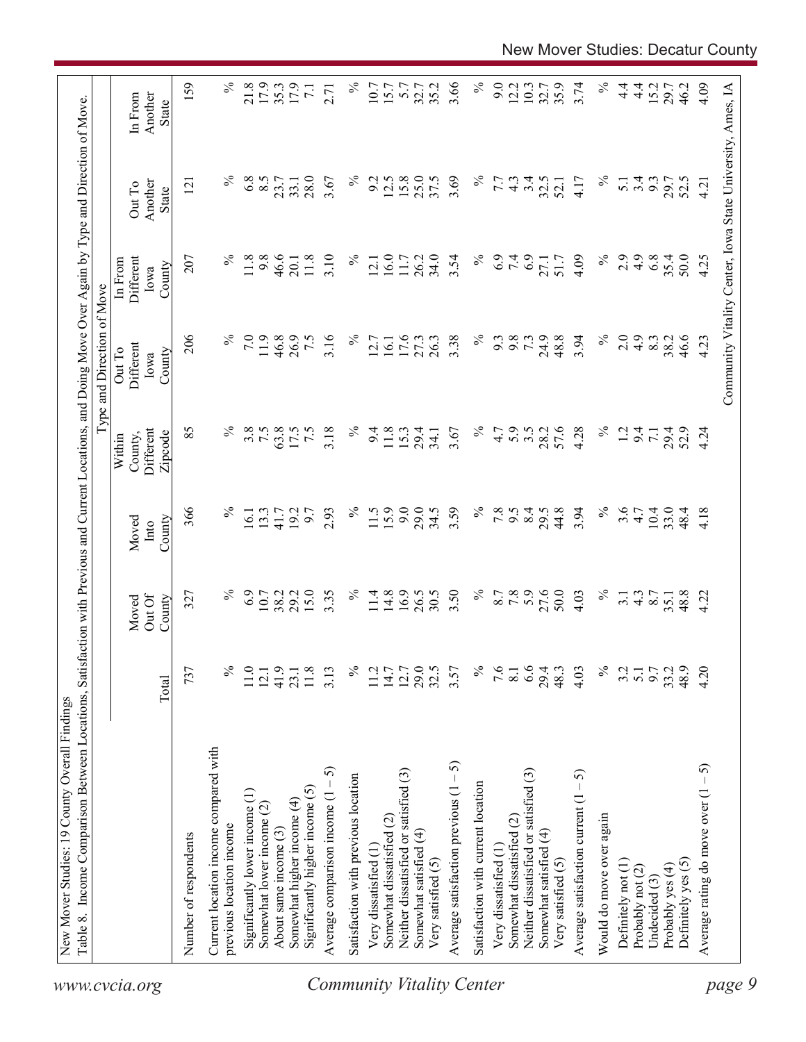|                                                                 |                  |                           |                         |                                           | Type and Direction of Move            |                                                            |                                   |                                    |
|-----------------------------------------------------------------|------------------|---------------------------|-------------------------|-------------------------------------------|---------------------------------------|------------------------------------------------------------|-----------------------------------|------------------------------------|
|                                                                 | Total            | Out Of<br>County<br>Moved | County<br>Moved<br>Into | Different<br>County,<br>Zipcode<br>Within | Different<br>Out To<br>County<br>Iowa | Different<br>In From<br>County<br>Iowa                     | Another<br>Out To<br><b>State</b> | Another<br>In From<br><b>State</b> |
| Number of respondents                                           | 737              | 327                       | 366                     | 85                                        | 206                                   | 207                                                        | $\overline{2}$                    | 159                                |
| Current location income compared with                           |                  |                           |                         |                                           |                                       |                                                            |                                   |                                    |
| previous location income                                        | ℅                | ℅                         | $\%$                    | $\%$                                      |                                       | $\%$                                                       |                                   | $\%$                               |
| Significantly lower income (1)                                  | 11.0             | 6.9                       | 16.1                    | 3.8                                       | 7.0                                   | 11.8                                                       | 6.8                               | 21.8                               |
| Somewhat lower income (2)                                       | 12.1             | 10.7<br>38.2              | 13.3                    | 7.5                                       | 11.9                                  | 9.8                                                        | 8.5                               | 17.9                               |
| About same income (3)                                           | 41.9             |                           | 41.7                    | 63.8                                      | 46.8                                  | 46.6                                                       | 23.7                              | 35.3                               |
| Significantly higher income $(5)$<br>Somewhat higher income (4) | 11.8<br>23.1     | 15.0<br>29.2              | 19.2<br>6.7             | 7.5<br>17.5                               | 26.9<br>7.5                           | 11.8<br>20.1                                               | 28.0<br>33.1                      | 17.9<br>$\overline{71}$            |
| 5<br>Average comparison income $(1 -$                           | 3.13             | 3.35                      | 2.93                    | 3.18                                      | 3.16                                  | 3.10                                                       | 3.67                              | 2.71                               |
|                                                                 |                  | $\%$                      | $\%$                    | $\%$                                      | $\%$                                  | $\%$                                                       | $\%$                              | $\%$                               |
| Satisfaction with previous location                             | ℅                |                           |                         |                                           |                                       |                                                            |                                   |                                    |
| Very dissatisfied (1                                            | 11.2             | 11.4                      | 11.5                    | 9.4                                       | 12.7                                  | 12.1                                                       | 9.2                               | 10.7                               |
| Somewhat dissatisfied (2)                                       | 14.7             | 14.8                      | 15.9                    | 11.8                                      | 16.1                                  | 16.0                                                       | 12.5                              | 15.7                               |
| Neither dissatisfied or satisfied (3)                           | 12.7             | 16.9                      | 9.0                     | 15.3                                      | 17.6                                  | 11.7                                                       | 15.8                              | 5.7                                |
| Somewhat satisfied (4)                                          | 29.5             | 26.5                      | 29.0                    | 29.4                                      | 27.3                                  | 26.2                                                       | 25.0                              | 32.7                               |
| Very satisfied (5)                                              |                  | 30.5                      | 34.5                    | 34.1                                      | 26.3                                  | 34.0                                                       | 37.5                              | 35.2                               |
| Average satisfaction previous $(1 - 5)$                         | 3.57             | 3.50                      | 3.59                    | 3.67                                      | 3.38                                  | 3.54                                                       | 3.69                              | 3.66                               |
| Satisfaction with current location                              | $\%$             | $\%$                      | $\%$                    | $\%$                                      | $\%$                                  | $\%$                                                       | $\%$                              | $\%$                               |
| Very dissatisfied (1                                            | 9.6              |                           | 7.8                     | 4.7                                       | 9.3                                   | 6.9                                                        | 7.7                               | 9.0                                |
| Somewhat dissatisfied (2)                                       | 8.1              | 8.7<br>7.8                | 9.5                     | 5.9                                       | 9.8                                   | 7.4                                                        | $4.\overline{3}$                  | 12.2                               |
| Neither dissatisfied or satisfied (3)                           | 6.6              | 5.9                       | 8.4                     | $3.5$<br>$28.2$                           | 73                                    |                                                            | 3.4                               | 10.3                               |
| Somewhat satisfied (4)                                          | 29.4             | 27.6                      | 29.5                    |                                           | 24.9                                  | 27.1                                                       | 32.5                              | 32.7                               |
| Very satisfied (5)                                              | 48.3             | 50.0                      | 44.8                    | 57.6                                      | 48.8                                  | 51.7                                                       | 52.1                              | 35.9                               |
| Average satisfaction current $(1 - 5)$                          | 4.03             | 4.03                      | 3.94                    | 4.28                                      | 3.94                                  | 4.09                                                       | 4.17                              | 3.74                               |
| Would do move over again                                        | $\%$             | $\%$                      | $\%$                    | $\%$                                      | $\%$                                  | $\%$                                                       | $\%$                              | $\%$                               |
| Definitely not (1)                                              | 3.2              | $\overline{3}$ .          | 3.6                     | $\overline{5}$                            | 2.0                                   | 2.9                                                        | $\overline{5.1}$                  | $\frac{4}{1}$                      |
| Probably not (2)                                                | $\overline{5.1}$ | $4.\overline{3}$          | 4.7                     | 9.4                                       | 4.9                                   | 4.9                                                        | 3.4                               | $\frac{4}{1}$                      |
| Undecided (3)                                                   | 9.7              | 8.7                       | 10.4                    | $\overline{71}$                           | 8.3                                   | 6.8                                                        | 9.3                               | 15.2                               |
| Probably yes (4)                                                | 33.2             | 35.1                      | 33.0                    | 29.4<br>52.9                              | 38.2                                  | 35.4                                                       | 29.7                              | 29.7                               |
| Definitely yes (5)                                              | 48.9             | 48.8                      | 48.4                    |                                           | 46.6                                  | 50.0                                                       | 52.5                              | 46.2                               |
| رې<br>-<br>Average rating do move over (1                       | 4.20             | 4.22                      | 4.18                    | 4.24                                      | 4.23                                  | 4.25                                                       | 4.21                              | 4.09                               |
|                                                                 |                  |                           |                         |                                           |                                       | Community Vitality Center, Iowa State University, Ames, IA |                                   |                                    |